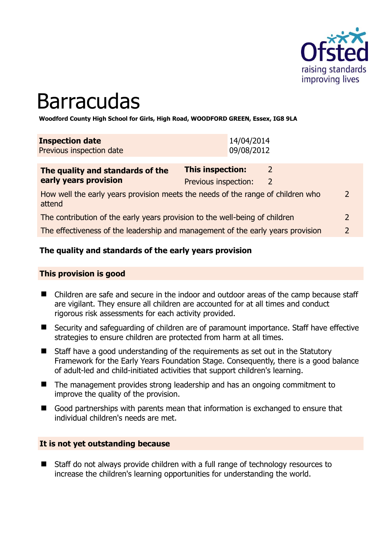

# **Barracudas**

**Woodford County High School for Girls, High Road, WOODFORD GREEN, Essex, IG8 9LA** 

| <b>Inspection date</b><br>Previous inspection date | 14/04/2014<br>09/08/2012 |   |
|----------------------------------------------------|--------------------------|---|
| The quality and standards of the                   | <b>This inspection:</b>  | 2 |
| early years provision                              | Previous inspection:     | 2 |

How well the early years provision meets the needs of the range of children who attend 2

The contribution of the early years provision to the well-being of children 2

The effectiveness of the leadership and management of the early years provision 2

# **The quality and standards of the early years provision**

#### **This provision is good**

- Children are safe and secure in the indoor and outdoor areas of the camp because staff are vigilant. They ensure all children are accounted for at all times and conduct rigorous risk assessments for each activity provided.
- Security and safeguarding of children are of paramount importance. Staff have effective strategies to ensure children are protected from harm at all times.
- Staff have a good understanding of the requirements as set out in the Statutory Framework for the Early Years Foundation Stage. Consequently, there is a good balance of adult-led and child-initiated activities that support children's learning.
- The management provides strong leadership and has an ongoing commitment to improve the quality of the provision.
- Good partnerships with parents mean that information is exchanged to ensure that individual children's needs are met.

#### **It is not yet outstanding because**

■ Staff do not always provide children with a full range of technology resources to increase the children's learning opportunities for understanding the world.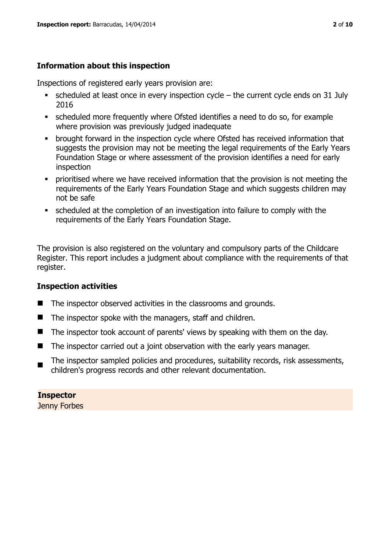# **Information about this inspection**

Inspections of registered early years provision are:

- scheduled at least once in every inspection cycle the current cycle ends on 31 July 2016
- scheduled more frequently where Ofsted identifies a need to do so, for example where provision was previously judged inadequate
- **•** brought forward in the inspection cycle where Ofsted has received information that suggests the provision may not be meeting the legal requirements of the Early Years Foundation Stage or where assessment of the provision identifies a need for early inspection
- **•** prioritised where we have received information that the provision is not meeting the requirements of the Early Years Foundation Stage and which suggests children may not be safe
- scheduled at the completion of an investigation into failure to comply with the requirements of the Early Years Foundation Stage.

The provision is also registered on the voluntary and compulsory parts of the Childcare Register. This report includes a judgment about compliance with the requirements of that register.

# **Inspection activities**

- The inspector observed activities in the classrooms and grounds.
- $\blacksquare$  The inspector spoke with the managers, staff and children.
- The inspector took account of parents' views by speaking with them on the day.
- The inspector carried out a joint observation with the early years manager.
- $\blacksquare$ The inspector sampled policies and procedures, suitability records, risk assessments, children's progress records and other relevant documentation.

# **Inspector**

Jenny Forbes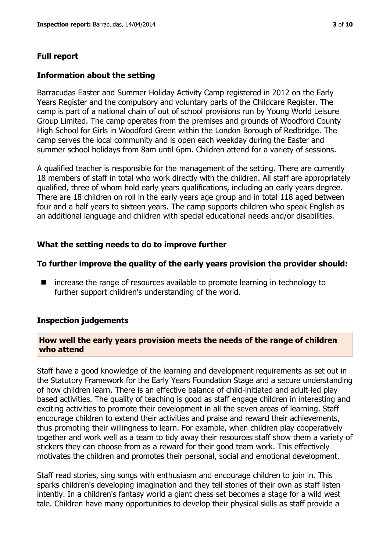### **Full report**

#### **Information about the setting**

Barracudas Easter and Summer Holiday Activity Camp registered in 2012 on the Early Years Register and the compulsory and voluntary parts of the Childcare Register. The camp is part of a national chain of out of school provisions run by Young World Leisure Group Limited. The camp operates from the premises and grounds of Woodford County High School for Girls in Woodford Green within the London Borough of Redbridge. The camp serves the local community and is open each weekday during the Easter and summer school holidays from 8am until 6pm. Children attend for a variety of sessions.

A qualified teacher is responsible for the management of the setting. There are currently 18 members of staff in total who work directly with the children. All staff are appropriately qualified, three of whom hold early years qualifications, including an early years degree. There are 18 children on roll in the early years age group and in total 118 aged between four and a half years to sixteen years. The camp supports children who speak English as an additional language and children with special educational needs and/or disabilities.

#### **What the setting needs to do to improve further**

#### **To further improve the quality of the early years provision the provider should:**

■ increase the range of resources available to promote learning in technology to further support children's understanding of the world.

#### **Inspection judgements**

#### **How well the early years provision meets the needs of the range of children who attend**

Staff have a good knowledge of the learning and development requirements as set out in the Statutory Framework for the Early Years Foundation Stage and a secure understanding of how children learn. There is an effective balance of child-initiated and adult-led play based activities. The quality of teaching is good as staff engage children in interesting and exciting activities to promote their development in all the seven areas of learning. Staff encourage children to extend their activities and praise and reward their achievements, thus promoting their willingness to learn. For example, when children play cooperatively together and work well as a team to tidy away their resources staff show them a variety of stickers they can choose from as a reward for their good team work. This effectively motivates the children and promotes their personal, social and emotional development.

Staff read stories, sing songs with enthusiasm and encourage children to join in. This sparks children's developing imagination and they tell stories of their own as staff listen intently. In a children's fantasy world a giant chess set becomes a stage for a wild west tale. Children have many opportunities to develop their physical skills as staff provide a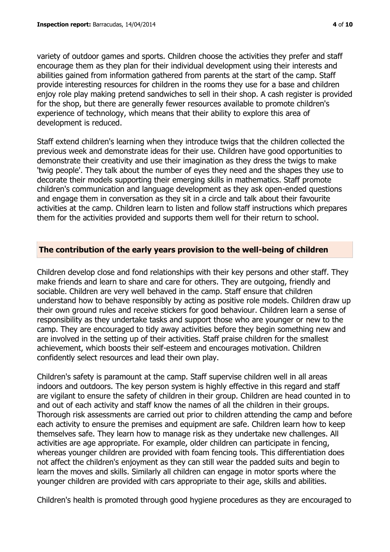variety of outdoor games and sports. Children choose the activities they prefer and staff encourage them as they plan for their individual development using their interests and abilities gained from information gathered from parents at the start of the camp. Staff provide interesting resources for children in the rooms they use for a base and children enjoy role play making pretend sandwiches to sell in their shop. A cash register is provided for the shop, but there are generally fewer resources available to promote children's experience of technology, which means that their ability to explore this area of development is reduced.

Staff extend children's learning when they introduce twigs that the children collected the previous week and demonstrate ideas for their use. Children have good opportunities to demonstrate their creativity and use their imagination as they dress the twigs to make 'twig people'. They talk about the number of eyes they need and the shapes they use to decorate their models supporting their emerging skills in mathematics. Staff promote children's communication and language development as they ask open-ended questions and engage them in conversation as they sit in a circle and talk about their favourite activities at the camp. Children learn to listen and follow staff instructions which prepares them for the activities provided and supports them well for their return to school.

# **The contribution of the early years provision to the well-being of children**

Children develop close and fond relationships with their key persons and other staff. They make friends and learn to share and care for others. They are outgoing, friendly and sociable. Children are very well behaved in the camp. Staff ensure that children understand how to behave responsibly by acting as positive role models. Children draw up their own ground rules and receive stickers for good behaviour. Children learn a sense of responsibility as they undertake tasks and support those who are younger or new to the camp. They are encouraged to tidy away activities before they begin something new and are involved in the setting up of their activities. Staff praise children for the smallest achievement, which boosts their self-esteem and encourages motivation. Children confidently select resources and lead their own play.

Children's safety is paramount at the camp. Staff supervise children well in all areas indoors and outdoors. The key person system is highly effective in this regard and staff are vigilant to ensure the safety of children in their group. Children are head counted in to and out of each activity and staff know the names of all the children in their groups. Thorough risk assessments are carried out prior to children attending the camp and before each activity to ensure the premises and equipment are safe. Children learn how to keep themselves safe. They learn how to manage risk as they undertake new challenges. All activities are age appropriate. For example, older children can participate in fencing, whereas younger children are provided with foam fencing tools. This differentiation does not affect the children's enjoyment as they can still wear the padded suits and begin to learn the moves and skills. Similarly all children can engage in motor sports where the younger children are provided with cars appropriate to their age, skills and abilities.

Children's health is promoted through good hygiene procedures as they are encouraged to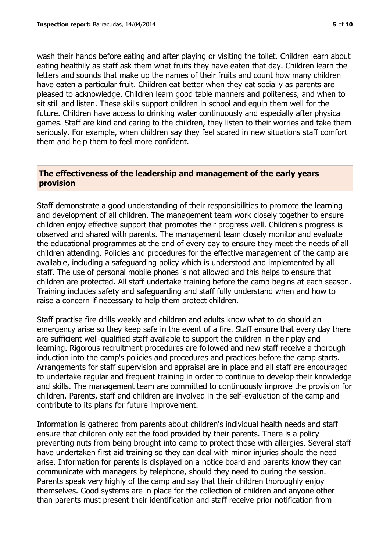wash their hands before eating and after playing or visiting the toilet. Children learn about eating healthily as staff ask them what fruits they have eaten that day. Children learn the letters and sounds that make up the names of their fruits and count how many children have eaten a particular fruit. Children eat better when they eat socially as parents are pleased to acknowledge. Children learn good table manners and politeness, and when to sit still and listen. These skills support children in school and equip them well for the future. Children have access to drinking water continuously and especially after physical games. Staff are kind and caring to the children, they listen to their worries and take them seriously. For example, when children say they feel scared in new situations staff comfort them and help them to feel more confident.

#### **The effectiveness of the leadership and management of the early years provision**

Staff demonstrate a good understanding of their responsibilities to promote the learning and development of all children. The management team work closely together to ensure children enjoy effective support that promotes their progress well. Children's progress is observed and shared with parents. The management team closely monitor and evaluate the educational programmes at the end of every day to ensure they meet the needs of all children attending. Policies and procedures for the effective management of the camp are available, including a safeguarding policy which is understood and implemented by all staff. The use of personal mobile phones is not allowed and this helps to ensure that children are protected. All staff undertake training before the camp begins at each season. Training includes safety and safeguarding and staff fully understand when and how to raise a concern if necessary to help them protect children.

Staff practise fire drills weekly and children and adults know what to do should an emergency arise so they keep safe in the event of a fire. Staff ensure that every day there are sufficient well-qualified staff available to support the children in their play and learning. Rigorous recruitment procedures are followed and new staff receive a thorough induction into the camp's policies and procedures and practices before the camp starts. Arrangements for staff supervision and appraisal are in place and all staff are encouraged to undertake regular and frequent training in order to continue to develop their knowledge and skills. The management team are committed to continuously improve the provision for children. Parents, staff and children are involved in the self-evaluation of the camp and contribute to its plans for future improvement.

Information is gathered from parents about children's individual health needs and staff ensure that children only eat the food provided by their parents. There is a policy preventing nuts from being brought into camp to protect those with allergies. Several staff have undertaken first aid training so they can deal with minor injuries should the need arise. Information for parents is displayed on a notice board and parents know they can communicate with managers by telephone, should they need to during the session. Parents speak very highly of the camp and say that their children thoroughly enjoy themselves. Good systems are in place for the collection of children and anyone other than parents must present their identification and staff receive prior notification from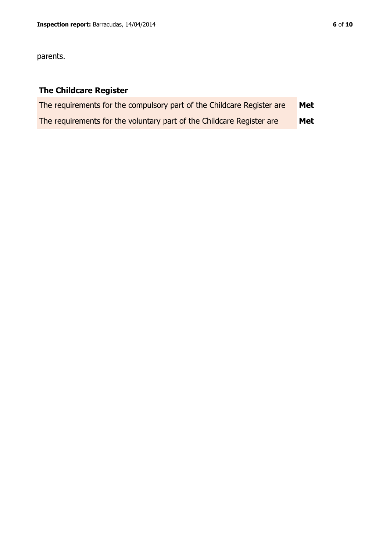parents.

# **The Childcare Register**

| The requirements for the compulsory part of the Childcare Register are | Met |
|------------------------------------------------------------------------|-----|
| The requirements for the voluntary part of the Childcare Register are  | Met |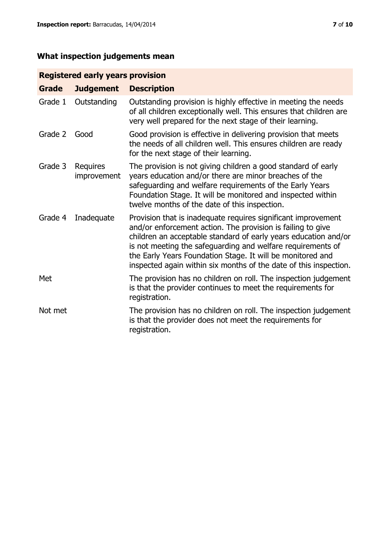# **Registered early years provision**

| <b>Grade</b> | <b>Judgement</b>        | <b>Description</b>                                                                                                                                                                                                                                                                                                                                                                                |
|--------------|-------------------------|---------------------------------------------------------------------------------------------------------------------------------------------------------------------------------------------------------------------------------------------------------------------------------------------------------------------------------------------------------------------------------------------------|
| Grade 1      | Outstanding             | Outstanding provision is highly effective in meeting the needs<br>of all children exceptionally well. This ensures that children are<br>very well prepared for the next stage of their learning.                                                                                                                                                                                                  |
| Grade 2      | Good                    | Good provision is effective in delivering provision that meets<br>the needs of all children well. This ensures children are ready<br>for the next stage of their learning.                                                                                                                                                                                                                        |
| Grade 3      | Requires<br>improvement | The provision is not giving children a good standard of early<br>years education and/or there are minor breaches of the<br>safeguarding and welfare requirements of the Early Years<br>Foundation Stage. It will be monitored and inspected within<br>twelve months of the date of this inspection.                                                                                               |
| Grade 4      | Inadequate              | Provision that is inadequate requires significant improvement<br>and/or enforcement action. The provision is failing to give<br>children an acceptable standard of early years education and/or<br>is not meeting the safeguarding and welfare requirements of<br>the Early Years Foundation Stage. It will be monitored and<br>inspected again within six months of the date of this inspection. |
| Met          |                         | The provision has no children on roll. The inspection judgement<br>is that the provider continues to meet the requirements for<br>registration.                                                                                                                                                                                                                                                   |
| Not met      |                         | The provision has no children on roll. The inspection judgement<br>is that the provider does not meet the requirements for<br>registration.                                                                                                                                                                                                                                                       |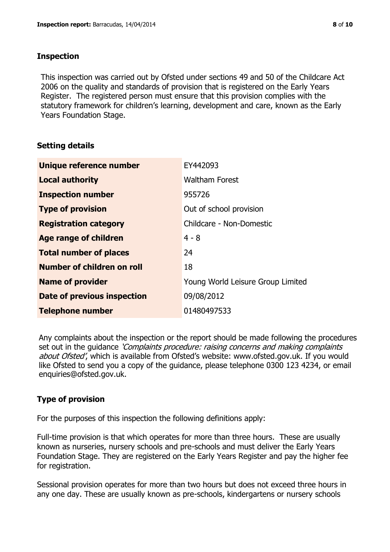### **Inspection**

This inspection was carried out by Ofsted under sections 49 and 50 of the Childcare Act 2006 on the quality and standards of provision that is registered on the Early Years Register. The registered person must ensure that this provision complies with the statutory framework for children's learning, development and care, known as the Early Years Foundation Stage.

# **Setting details**

| Unique reference number            | EY442093                          |  |
|------------------------------------|-----------------------------------|--|
| <b>Local authority</b>             | <b>Waltham Forest</b>             |  |
| <b>Inspection number</b>           | 955726                            |  |
| <b>Type of provision</b>           | Out of school provision           |  |
| <b>Registration category</b>       | Childcare - Non-Domestic          |  |
| Age range of children              | $4 - 8$                           |  |
| <b>Total number of places</b>      | 24                                |  |
| Number of children on roll         | 18                                |  |
| <b>Name of provider</b>            | Young World Leisure Group Limited |  |
| <b>Date of previous inspection</b> | 09/08/2012                        |  |
| <b>Telephone number</b>            | 01480497533                       |  |

Any complaints about the inspection or the report should be made following the procedures set out in the guidance *'Complaints procedure: raising concerns and making complaints* about Ofsted', which is available from Ofsted's website: www.ofsted.gov.uk. If you would like Ofsted to send you a copy of the guidance, please telephone 0300 123 4234, or email enquiries@ofsted.gov.uk.

# **Type of provision**

For the purposes of this inspection the following definitions apply:

Full-time provision is that which operates for more than three hours. These are usually known as nurseries, nursery schools and pre-schools and must deliver the Early Years Foundation Stage. They are registered on the Early Years Register and pay the higher fee for registration.

Sessional provision operates for more than two hours but does not exceed three hours in any one day. These are usually known as pre-schools, kindergartens or nursery schools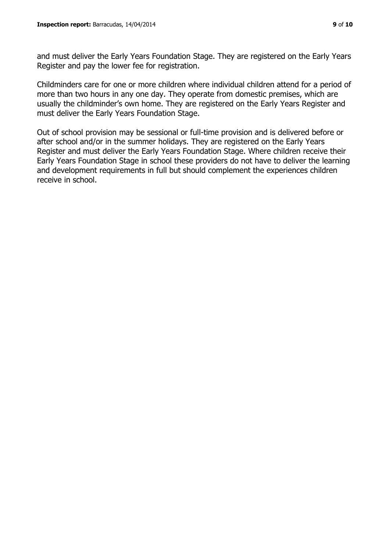and must deliver the Early Years Foundation Stage. They are registered on the Early Years Register and pay the lower fee for registration.

Childminders care for one or more children where individual children attend for a period of more than two hours in any one day. They operate from domestic premises, which are usually the childminder's own home. They are registered on the Early Years Register and must deliver the Early Years Foundation Stage.

Out of school provision may be sessional or full-time provision and is delivered before or after school and/or in the summer holidays. They are registered on the Early Years Register and must deliver the Early Years Foundation Stage. Where children receive their Early Years Foundation Stage in school these providers do not have to deliver the learning and development requirements in full but should complement the experiences children receive in school.